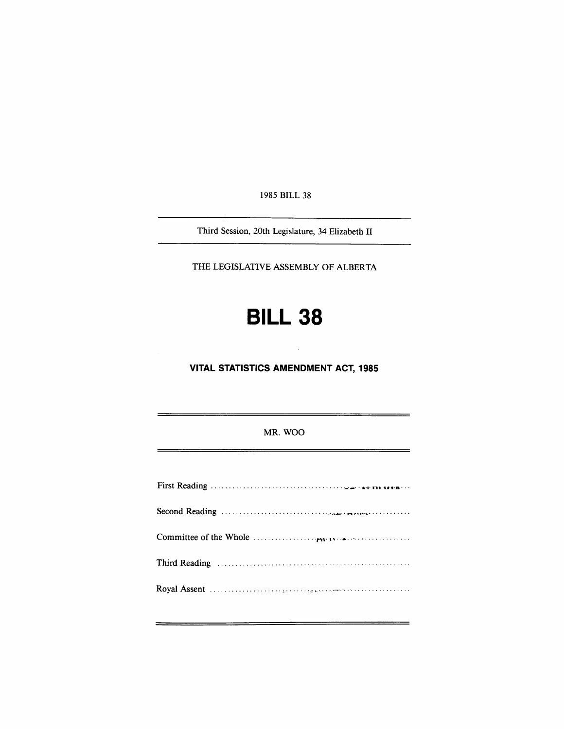1985 BILL 38

Third Session, 20th Legislature, 34 Elizabeth II

THE LEGISLATIVE ASSEMBLY OF ALBERTA

# **BILL 38**

**VITAL STATISTICS AMENDMENT ACT, 1985** 

MR. WOO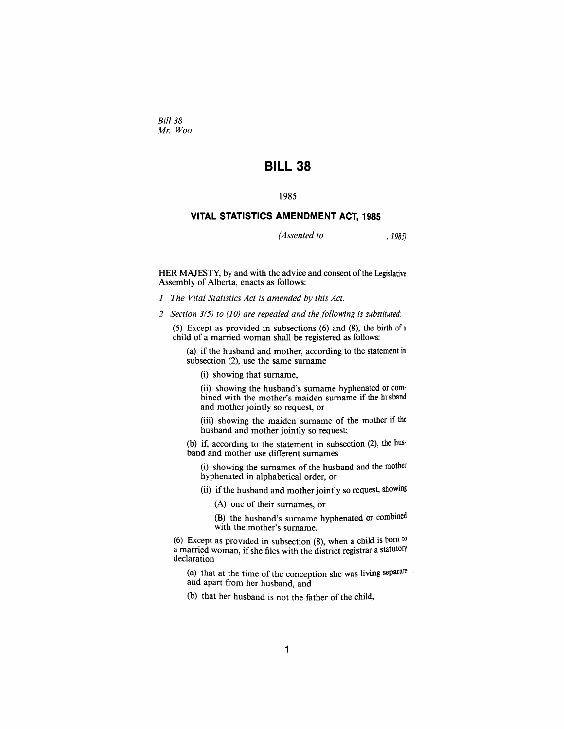*Bill 38 Mr Woo* 

## **BILL 38**

## **1985**

## **VITAL STATISTICS AMENDMENT ACT, 1985**

*(Assented to , 1985)* 

HER MAJESTY, by and with the advice and consent of the Legislative Assembly of Alberta, enacts as follows:

- *1 The Vital Statistics Act is amended by this Act.*
- *2 Section 3(5) to (10) are repealed and the following is substituted:*

(5) Except as provided in subsections (6) and (8), the birth of a child of a married woman shall be registered as follows:

(a) if the husband and mother, according to the statement in subsection (2), use the same surname

(i) showing that surname,

(ii) showing the husband's surname hyphenated or combined with the mother's maiden surname if the husband and mother jointly so request, or

(iii) showing the maiden surname of the mother if the husband and mother jointly so request;

(b) if, according to the statement in subsection (2), the husband and mother use different surnames

(i) showing the surnames of the husband and the mother hyphenated in alphabetical order, or

(ii) if the husband and mother jointly so request, showing

(A) one of their surnames, or

(B) the husband's surname hyphenated or combined with the mother's surname.

(6) Except as provided in subsection (8), when a child is bom to a married woman, if she files with the district registrar a statutory declaration

(a) that at the time of the conception she was living separate and apart from her husband, and

(b) that her husband is not the father of the child.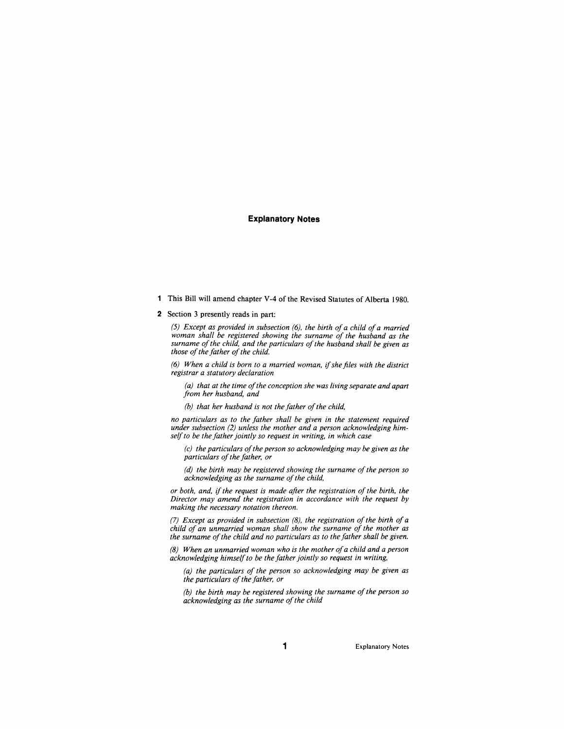#### **Explanatory Notes**

- 1 This Bill will amend chapter Y-4 of the Revised Statutes of Alberta 1980.
- 2 Section 3 presently reads in part:

*(5) Except as provided in subsection (6), the birth of a child of a married woman shall be registered showing the surname of the husband as the surname of the child, and the particulars of the husband shall be given as those of the father of the child.* 

*(6) When a child is born to a married woman, if she files with the district registrar a statutory declaration* 

*(a) that at the time of the conception she was living separate and apart from her husband, and* 

*(b) that her husband is not the father of the child,* 

*no particulars as to the father shall be given in the statement required under subsection (2) unless the mother and a person acknowledging himself to be the father jointly so request in writing, in which case* 

*(c) the particulars of the person so acknowledging may be given as the particulars of the father, or* 

*(d) the birth may be registered showing the surname of the person so acknowledging as the surname of the child,* 

*or both, and, if the request is made after the registration of the birth, the Director may amend the registration in accordance with the request by making the necessary notation thereon.* 

*(7) Except as provided in subsection (8), the registration of the birth of a child of an unmarried woman shall show the surname of the mother as the surname of the child and no particulars as to the father shall be given.* 

*(8) When an unmarried woman who is the mother of a child and a person acknowledging himself to be the father jointly so request in writing,* 

*(a) the particulars of the person so acknowledging may be given as the particulars of the father, or* 

*(b) the birth may be registered showing the surname of the person so acknowledging as the surname of the child*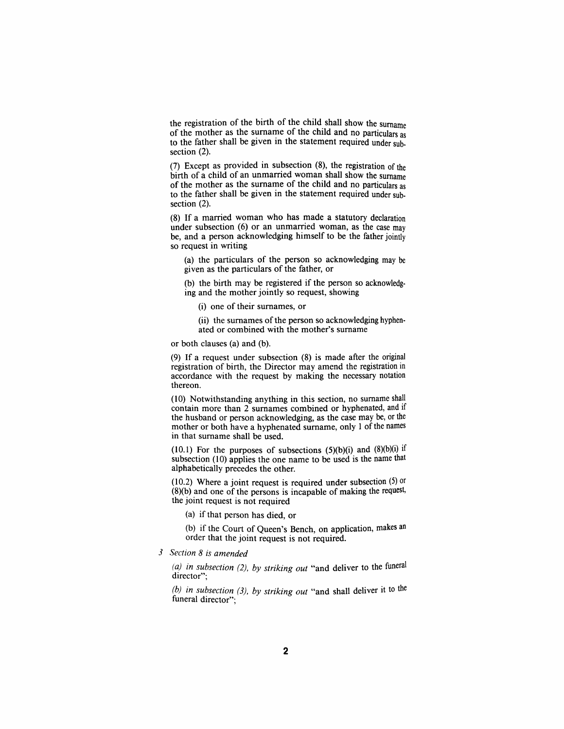the registration of the birth of the child shall show the surname of the mother as the surname of the child and no particulars as to the father shall be given in the statement required under subsection  $(2)$ .

(7) Except as provided in subsection (8), the registration of the birth of a child of an unmarried woman shall show the surname of the mother as the surname of the child and no particulars as to the father shall be given in the statement required under subsection (2).

(8) If a married woman who has made a statutory declaration under subsection (6) or an unmarried woman, as the case may be, and a person acknowledging himself to be the father jointly so request in writing

(a) the particulars of the person so acknowledging may be given as the particulars of the father, or

(b) the birth may be registered if the person so acknowledging and the mother jointly so request, showing

(i) one of their surnames, or

(ii) the surnames of the person so acknowledging hyphenated or combined with the mother's surname

or both clauses (a) and (b).

(9) If a request under subsection (8) is made after the original registration of birth, the Director may amend the registration in accordance with the request by making the necessary notation thereon.

(10) Notwithstanding anything in this section, no sumame shall contain more than 2 surnames combined or hyphenated, and if the husband or person acknowledging, as the case may be, or the mother or both have a hyphenated sumame, only 1 of the names in that sumame shall be used.

(10.1) For the purposes of subsections  $(5)(b)(i)$  and  $(8)(b)(i)$  if subsection (10) applies the one name to be used is the name that alphabetically precedes the other.

(10.2) Where a joint request is required under subsection (5) or (8)(b) and one of the persons is incapable of making the request, the joint request is not required

(a) if that person has died, or

(b) if the Court of Queen's Bench, on application, makes an order that the joint request is not required.

*3 Section 8 is amended* 

*(a) in subsection (2), by striking out* **"and deliver to the funeral**  director":

*(b) in subsection (3), by striking out* **"and shall deliver it to the**  funeral director";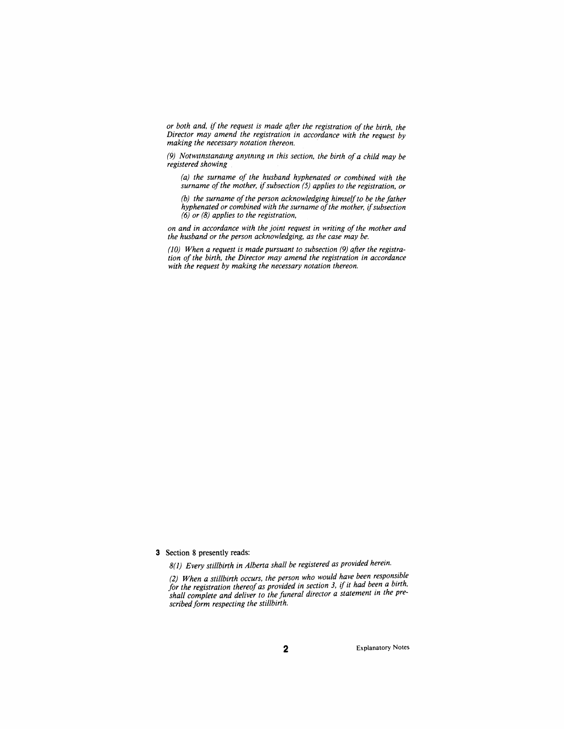*or both and, if the request is made after the registration of the birth, the Director may amend the registration in accordance with the request by making the necessary notation thereon.* 

*(9) Notwitnstanamg anytnmg m this section, the birth of a child may be registered showing* 

*(a) the surname of the husband hyphenated or combined with the surname of the mother, if subsection (5) applies to the registration, or* 

*(b) the surname of the person acknowledging himself to be the father hyphenated or combined with the surname of the mother if subsection (6) or (8) applies to the registration,* 

*on and in accordance with the joint request in writing of the mother and the husband or the person acknowledging, as the case may be.* 

*(10) When a request is made pursuant to subsection (9) after the registration of the birth, the Director may amend the registration in accordance with the request by making the necessary notation thereon.* 

3 Section 8 presently reads:

*8(1) Every stillbirth in Alberta shall be registered as provided herein.* 

*(2) When a stillbirth occurs, the person who would have been responsible*  for the registration thereof as provided in section 3, if it had been a birth, *shall complete and deliver to the funeral director a statement m the prescribed form respecting the stillbirth.*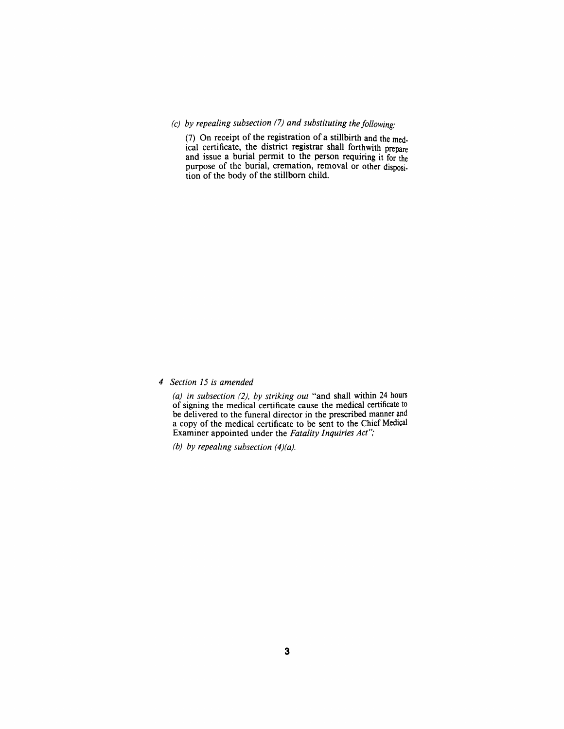## *(c) by repealing subsection (7) and substituting the following:*

(7) On receipt of the registration of a stillbirth and the medical certificate, the district registrar shall forthwith prepare and issue a burial permit to the person requiring it for the purpose of the burial, cremation, removal or other disposition of the body of the stillborn child.

*4 Section 15 is amended* 

*(a) in subsection (2), by striking out* "and shall within 24 hours of signing the medical certificate cause the medical certificate to be delivered to the funeral director in the prescribed manner and a copy of the medical certificate to be sent to the Chief Medical Examiner appointed under the *Fatality Inquiries Act";* 

*(b) by repealing subsection (4)(a).*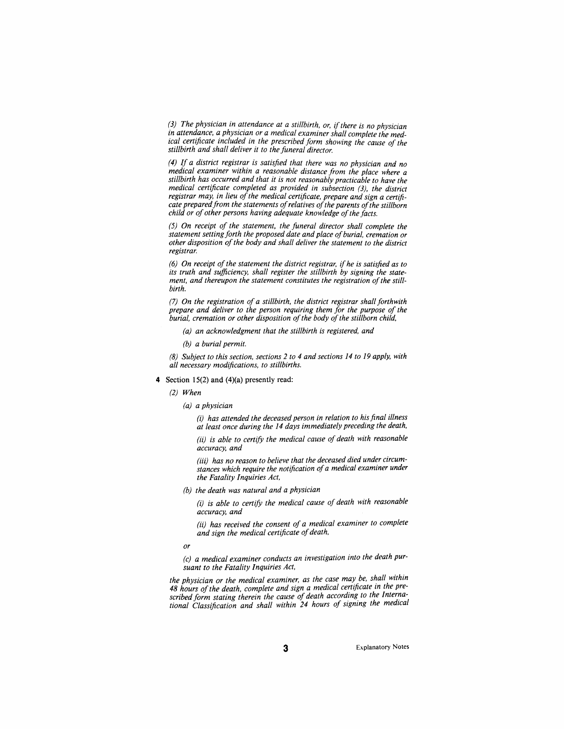*(3) The physician in attendance at a stillbirth, or if there is no physician in attendance, a physician or a medical examiner shall complete the medical certificate included in the prescribed form showing the cause of the stillbirth and shall deliver it to the funeral director.* 

*(4) If a district registrar is satisfied that there was no physician and no medical examiner within a reasonable distance from the place where a stillbirth has occurred and that it is not reasonably practicable to have the medical certificate completed as provided in subsection (3), the district registrar may, in lieu of the medical certificate, prepare and sign a certificate prepared from the statements of relatives of the parents of the stillborn child or of other persons having adequate knowledge of the facts.* 

*(5) On receipt of the statement, the funeral director shall complete the statement setting forth the proposed date and place of burial, cremation or other disposition of the body and shall deliver the statement to the district registrar* 

*(6) On receipt of the statement the district registrar if he is satisfied as to its truth and sufficiency, shall register the stillbirth by signing the statement, and thereupon the statement constitutes the registration of the stillbirth.* 

*(7) On the registration of a stillbirth, the district registrar shall forthwith prepare and deliver to the person requiring them for the purpose of the burial, cremation or other disposition of the body of the stillborn child,* 

- *(a) an acknowledgment that the stillbirth is registered, and*
- *(b) a burial permit.*

*(8) Subject to this section, sections 2 to 4 and sections 14 to 19 apply, with all necessary modifications, to stillbirths.* 

4 Section 15(2) and (4)(a) presently read:

#### *(2) When*

*(a) a physician* 

*(i) has attended the deceased person in relation to his final illness at least once during the 14 days immediately preceding the death,* 

*(ii) is able to certify the medical cause of death with reasonable accuracy, and* 

*(iii) has no reason to believe that the deceased died under circumstances which require the notification of a medical examiner under the Fatality Inquiries Act.* 

*(b) the death was natural and a physician* 

*(i) is able to certify the medical cause of death with reasonable accuracy, and* 

*(ii) has received the consent of a medical examiner to complete and sign the medical certificate of death,* 

*or* 

*(c) a medical examiner conducts an investigation into the death pursuant to the Fatality Inquiries Act.* 

*the physician or the medical examiner as the case may be. shall within 48 hours of the death, complete and sign a medical certificate in the prescribed form stating therein the cause of death according to the International Classification and shall within 24 hours of signing the medical*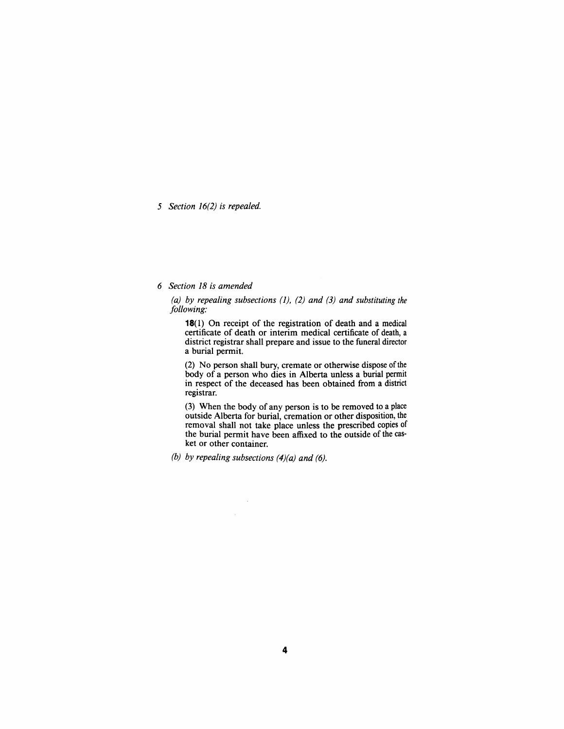*5 Section 16(2) is repealed.* 

## *6 Section 18 is amended*

*(a) by repealing subsections (1), (2) and (3) and substituting the following:* 

18(1) On receipt of the registration of death and a medical certificate of death or interim medical certificate of death, a district registrar shall prepare and issue to the funeral director a burial permit.

(2) No person shall bury, cremate or otherwise dispose of the body of a person who dies in Alberta unless a burial permit in respect of the deceased has been obtained from a district registrar.

(3) When the body of any person is to be removed to a place outside Alberta for burial, cremation or other disposition, the removal shall not take place unless the prescribed copies of the burial permit have been affixed to the outside of the casket or other container.

*(b) by repealing subsections (4)(a) and (6).* 

 $\hat{\boldsymbol{\beta}}$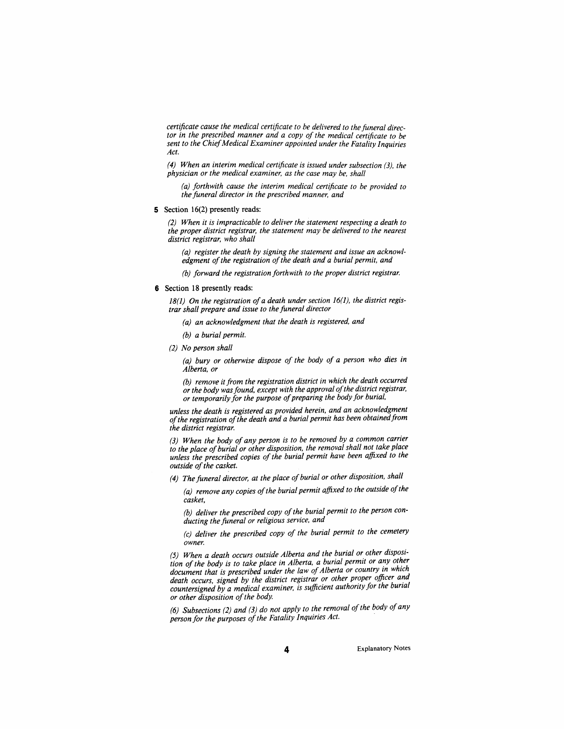*certificate cause the medical certificate to be delivered to the funeral director in the prescribed manner and a copy of the medical certificate to be sent to the Chief Medical Examiner appointed under the Fatality Inquiries Act.* 

*(4) When an interim medical certificate is issued under subsection (3), the physician or the medical examiner as the case may be, shall* 

*(a) forthwith cause the interim medical certificate to be provided to the funeral director in the prescribed manner and* 

#### 5 Section 16(2) presently reads:

*(2) When it is impracticable to deliver the statement respecting a death to the proper district registrar, the statement may be delivered to the nearest district registrar, who shall* 

*(a) register the death by signing the statement and issue an acknowledgment of the registration of the death and a burial permit, and* 

*(b)* forward the registration forthwith to the proper district registrar.

## 6 Section 18 presently reads:

*18(1) On the registration of a death under section 16(1). the district registrar shall prepare and issue to the funeral director* 

- *(a) an acknowledgment that the death is registered, and*
- *(b) a burial permit.*
- *(2) No person shall*

*(a) bury or otherwise dispose of the body of a person who dies in Alberta, or* 

*(b) remove it from the registration district in which the death occurred or the body was found, except with the approval of the district registrar or temporarily for the purpose of preparing the body for burial,* 

*unless the death is registered as provided herein, and an acknowledgment of the registration of the death and a burial permit has been obtained from the district registrar* 

*(3) When the body of any person is to be removed by a common carrier to the place of burial or other disposition, the removal shall not take place unless the prescribed copies of the burial permit have been affixed to the outside of the casket.* 

(4) The funeral director, at the place of burial or other disposition, shall

*(a) remove any copies of the burial permit affixed to the outside of the casket,* 

*(b) deliver the prescribed copy of the burial permit to the person conducting the funeral or religious service, and* 

*(c) deliver the prescribed copy of the burial permit to the cemetery owner* 

*(5) When a death occurs outside Alberta and the burial or other disposition of the body is to take place in Alberta, a burial permit or any other document that is prescribed under the law of Alberta or country in which death occurs, signed by the district registrar or other proper officer and countersigned by a medical examiner is sufficient authority for the burial or other disposition of the body.* 

*(6) Subsections (2) and (3) do not apply to the removal of the body of any person for the purposes of the Fatality Inquiries Act.*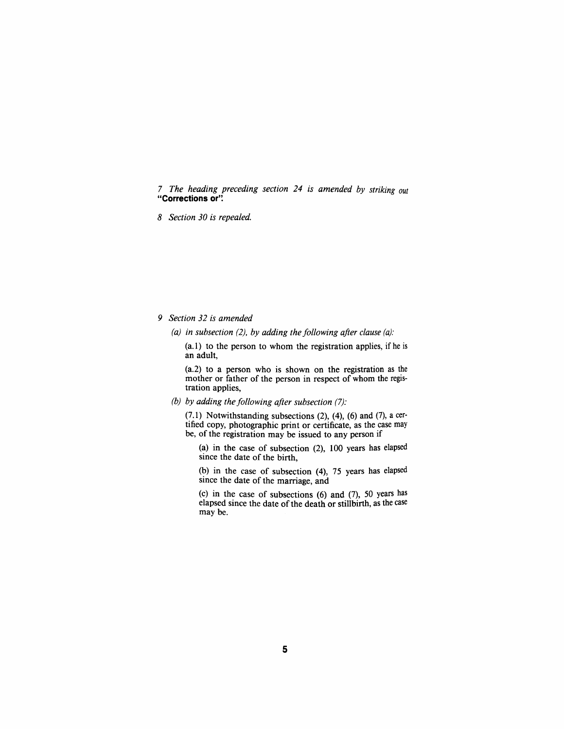7 *The heading preceding section 24 is amended by striking out*  **"Corrections or".** 

*8 Section 30 is repealed.* 

*9 Section 32 is amended* 

*(a) in subsection (2), by adding the following after clause (a):* 

(a.l) to the person to whom the registration applies, if he is an adult,

(a.2) to a person who is shown on the registration as the mother or father of the person in respect of whom the registration applies,

*(b) by adding the following after subsection (7):* 

(7.1) Notwithstanding subsections (2), (4), (6) and (7), a certified copy, photographic print or certificate, as the case may be, of the registration may be issued to any person if

(a) in the case of subsection (2), 100 years has elapsed since the date of the birth,

(b) in the case of subsection (4), 75 years has elapsed since the date of the marriage, and

(c) in the case of subsections (6) and (7), 50 years has elapsed since the date of the death or stillbirth, as the case may be.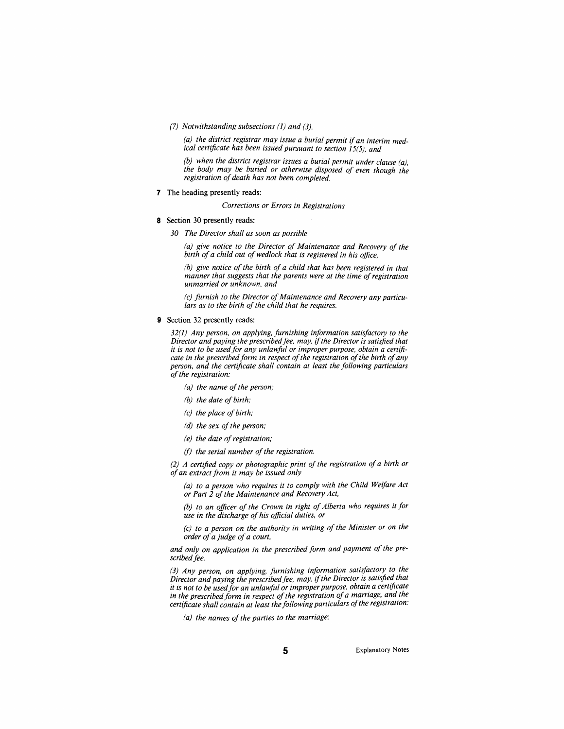*(7) Notwithstanding subsections (1) and (3),* 

*(a) the district registrar may issue a burial permit if an interim medical certiftcate has been issued pursuant to section 15(5), and* 

*(b) when the district registrar issues a burial permit under clause (a). the body may be buried or otherwise disposed of even though the registration of death has not been completed.* 

7 The heading presently reads:

*Corrections or Errors in Registrations* 

- 8 Section 30 presently reads:
	- *30 The Director shall as soon as possible*

*(a) give notice to the Director of Maintenance and Recovery of the birth of a child out of wedlock that is registered in his office.* 

*(b) give notice of the birth of a child that has been registered in that manner that suggests that the parents were at the time of registration unmarried or unknown, and* 

*(c) furnish to the Director of Maintenance and Recovery any particulars as to the birth of the child that he requires.* 

9 Section 32 presently reads:

*32(1) Any person, on applying, furnishing information satisfactory to the Director and paying the prescribed fee, may. if the Director is satisfied that it is not to be used for any unlawful or improper purpose, obtain a certificate in the prescribed form in respect of the registration of the birth of any person, and the certificate shall contain at least the following particulars of the registration:* 

- *(a) the name of the person;*
- *(b) the date of birth;*
- *(c) the place of birth;*
- *(d) the sex of the person;*
- *(e) the date of registration;*
- *(f) the serial number of the registration.*

*(2) A certified copy or photographic print of the registration of a birth or of an extract from it may be issued only* 

*(a) to a person who requires it to comply with the Child Welfare Act or Part 2 of the Maintenance and Recovery Act,* 

*(b) to an officer of the Crown in right of Alberta who requires it for use in the discharge of his official duties, or* 

*(c) to a person on the authority in writing of the Minister or on the order of a judge of a court,* 

*and only on application in the prescribed form and payment of the prescribed fee.* 

*(3) Any person, on applying, furnishing information satisfactory to the Director and paying the prescribed fee. may. if the Director is satisfied that it is not to be used for an unlawful or improper purpose, obtain a certificate in the prescribed form in respect of the registration of a marriage, and the certificate shall contain at least the following particulars of the registration:* 

*(a) the names of the parties to the marriage;* 

Explanatory Notes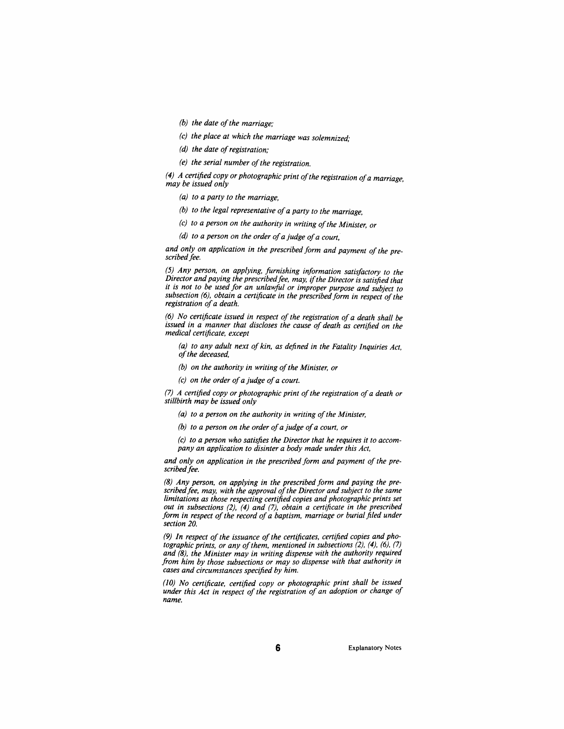- *(b) the date of the marriage;*
- *(c) the place at which the marriage was solemnized;*
- *(d) the date of registration;*
- *(e) the serial number of the registration.*

*(4) A certified copy or photographic print of the registration of a marriage may be issued only* 

- *(a) to a party to the marriage,*
- *(b) to the legal representative of a party to the marriage,*
- *(c) to a person on the authority in writing of the Minister or*
- *(d) to a person on the order of a judge of a court,*

*and only on application in the prescribed form and payment of the pre*scribed fee.

*(5) Any person, on applying, furnishing information satisfactory to the Director and paying the prescribed fee, may if the Director is satisfied that it is not to be used for an unlawful or improper purpose and subject to subsection (6), obtain a certificate in the prescribed form in respect of the registration of a death.* 

*(6) No certificate issued in respect of the registration of a death shall be issued in a manner that discloses the cause of death as certified on the medical certificate, except* 

*(a) to any aduh next of kin, as defined in the Fatality Inquiries Act, of the deceased,* 

- *(b) on the authority in writing of the Minister, or*
- *(c) on the order of a judge of a court.*

*(7) A certified copy or photographic print of the registration of a death or stillbirth may be issued only* 

- *(a) to a person on the authority in writing of the Minister,*
- *(b) to a person on the order of a judge of a court, or*

*(c) to a person who satisfies the Director that he requires it to accompany an application to disinter a body made under this Act,* 

*and only on application in the prescribed form and payment of the pre*scribed fee.

*(8) Any person, on applying in the prescribed form and paying the prescribed fee, may, with the approval of the Director and subject to the same limitations as those respecting certified copies and photographic prints set out in subsections (2), (4) and (7), obtain a certificate in the prescribed*  form in respect of the record of a baptism, marriage or burial filed under *section 20.* 

*(9) In respect of the issuance of the certificates, certified copies and photographic prints, or any of them, mentioned in subsections (2). (4). (6), (7) and (8), the Minister may in writing dispense with the authority required from him by those subsections or may so dispense with that authority in cases and circumstances specified by him.* 

*(10) No certificate, certified copy or photographic print shall be issued under this Act in respect of the registration of an adoption or change of name.*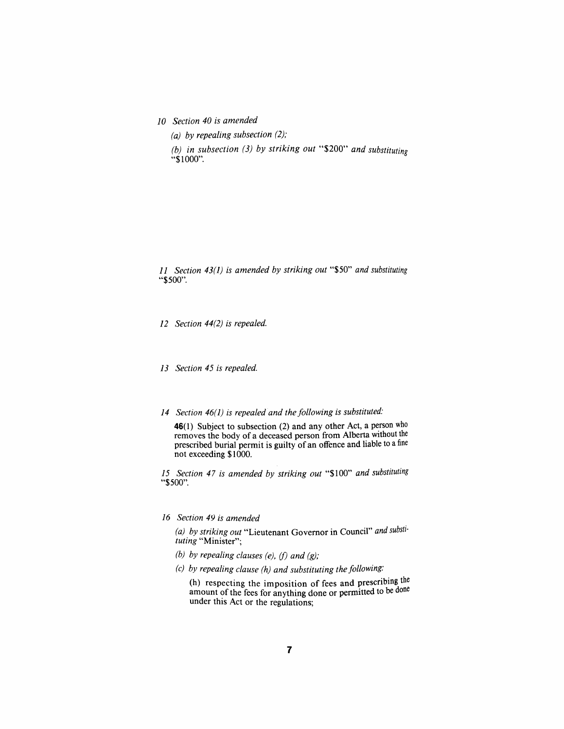*10 Section 40 is amended* 

*(a) by repealing subsection (2);* 

*(b) in subsection (3) by striking out* "\$200" *and substituting*  "\$1000".

*11 Section 43(1) is amended by striking out* "\$50" *and substituting*  "\$500".

*12 Section 44(2) is repealed.* 

*13 Section 45 is repealed.* 

*14 Section 46(1) is repealed and the following is substituted:* 

46(1) Subject to subsection (2) and any other Act, a person who removes the body of a deceased person from Alberta without the prescribed burial permit is guilty of an offence and liable to a fine not exceeding \$1000.

75 *Section 47 is amended by striking out* "\$100" *and substituting*  "\$500".

### *16 Section 49 is amended*

*(a) by striking out* "Lieutenant Govemor in Council" *and substituting* "Minister";

- *(b) by repealing clauses (e), (f) and (g);*
- *(c) by repealing clause (h) and substituting the following:*

(h) respecting the imposition of fees and prescribing the amount of the fees for anything done or permitted to be done under this Act or the regulations;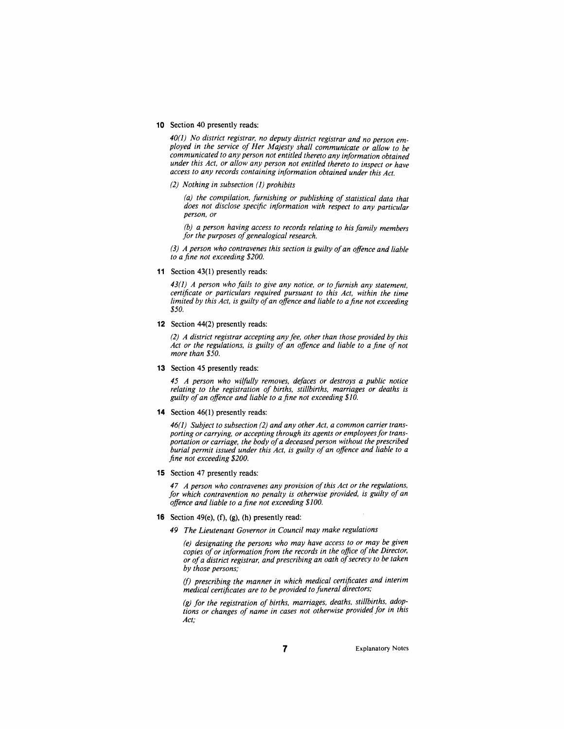#### 10 Section 40 presently reads:

40(1) No district registrar, no deputy district registrar and no person em*ployed in the service of Her Majesty shall communicate or allow to be communicated to any person not entitled thereto any information obtained under this Act. or allow any person not entitled thereto to inspect or have access to any records containing information obtained under this Act.* 

*(2) Nothing in subsection (1) prohibits* 

*(a) the compilation, furnishing or publishing of statistical data that does not disclose specific information with respect to any particular person, or* 

*(b) a person having access to records relating to his family members for the purposes of genealogical research.* 

*(3) A person who contravenes this section is guilty of an offence and liable to a fine not exceeding \$200.* 

11 Section 43(1) presently reads:

*43(1) A person who fails to give any notice, or to furnish any statement, certificate or particulars required pursuant to this Act, within the time limited by this Act, is guilty of an offence and liable to a fine not exceeding \$50.* 

12 Section 44(2) presently reads:

*(2) A district registrar accepting any fee. other than those provided by this*  Act or the regulations, is guilty of an offence and liable to a fine of not *more than \$50.* 

13 Section 45 presently reads:

*45 A person who wilfully removes, defaces or destroys a public notice relating to the registration of births, stillbirths, marriages or deaths is guilty of an offence and liable to a fine not exceeding \$10.* 

14 Section 46(1) presently reads:

*46(1) Subject to subsection (2) and any other Act, a common carrier transporting or carrying, or accepting through its agents or employees for transportation or carriage, the body of a deceased person without the prescribed burial permit issued under this Act. is guilty of an offence and liable to a fine not exceeding \$200.* 

15 Section 47 presently reads:

*47 A person who contravenes any provision ofthis Act or the regulations, for which contravention no penalty is otherwise provided, is guilty of an offence and liable to a fine not exceeding \$100.* 

- **16** Section 49(e),  $(f)$ ,  $(g)$ ,  $(h)$  presently read:
	- *49 The Lieutenant Governor in Council may make regulations*

*(e) designating the persons who may have access to or may be given*  copies of or information from the records in the office of the Director, *or of a district registrar and prescribing an oath of secrecy to be taken by those persons;* 

*(f) prescribing the manner in which medical certificates and interim medical certificates are to be provided to funeral directors;* 

*(g) for the registration of births, marriages, deaths, stillbirths, adoptions or changes of name in cases not otherwise provided for in this Act;* 

Explanatory Notes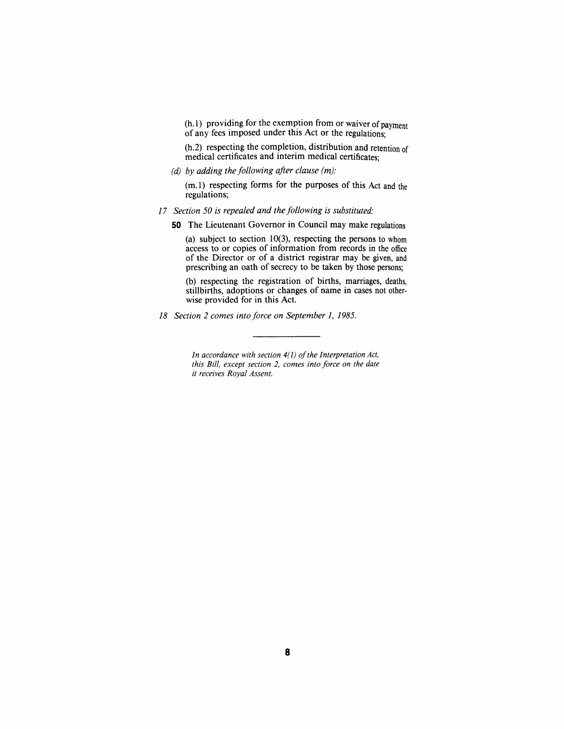(h. 1) providing for the exemption from or waiver of payment of any fees imposed under this Act or the regulations;

(h.2) respecting the completion, distribution and retention of medical certificates and interim medical certificates;

*(d) by adding the following after clause (m):* 

 $(m.1)$  respecting forms for the purposes of this Act and the regulations;

- *17 Section 50 is repealed and the following is substituted:* 
	- 50 The Lieutenant Govemor in Council may make regulations

(a) subject to section 10(3), respecting the persons to whom access to or copies of information from records in the office of the Director or of a district registrar may be given, and prescribing an oath of secrecy to be taken by those persons;

(b) respecting the registration of births, marriages, deaths, stillbirths, adoptions or changes of name in cases not otherwise provided for in this Act.

*18 Section 2 comes into force on September 1, 1985.* 

*In accordance with section 4(1) of the Interpretation Act, this Bill, except section 2, comes into force on the date it receives Royal Assent.*